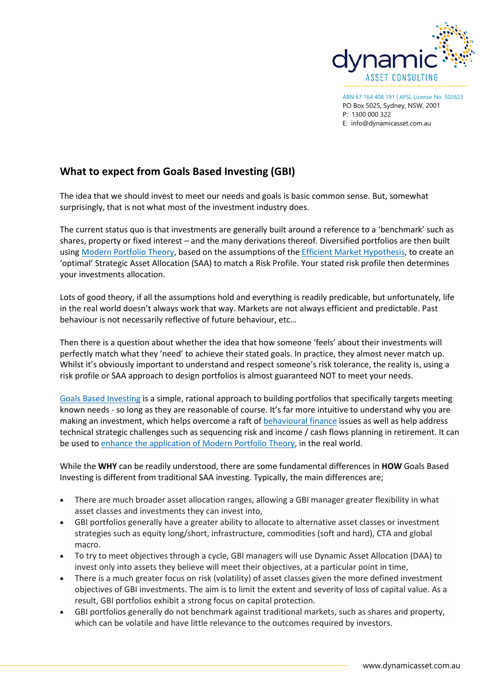

ABN 67 164 408 191 | AFSL License No. 502623 PO Box 5025, Sydney, NSW, 2001 P: 1300 000 322 E: [info@dynamicasset.com.au](mailto:info@dynamicasset.com.au)

## **What to expect from Goals Based Investing (GBI)**

The idea that we should invest to meet our needs and goals is basic common sense. But, somewhat surprisingly, that is not what most of the investment industry does.

The current status quo is that investments are generally built around a reference to a 'benchmark' such as shares, property or fixed interest – and the many derivations thereof. Diversified portfolios are then built using [Modern Portfolio Theory,](https://en.wikipedia.org/wiki/Modern_portfolio_theory) based on the assumptions of the [Efficient Market Hypothesis,](https://en.wikipedia.org/wiki/Efficient-market_hypothesis) to create an 'optimal' Strategic Asset Allocation (SAA) to match a Risk Profile. Your stated risk profile then determines your investments allocation.

Lots of good theory, if all the assumptions hold and everything is readily predicable, but unfortunately, life in the real world doesn't always work that way. Markets are not always efficient and predictable. Past behaviour is not necessarily reflective of future behaviour, etc…

Then there is a question about whether the idea that how someone 'feels' about their investments will perfectly match what they 'need' to achieve their stated goals. In practice, they almost never match up. Whilst it's obviously important to understand and respect someone's risk tolerance, the reality is, using a risk profile or SAA approach to design portfolios is almost guaranteed NOT to meet your needs.

[Goals Based Investing](https://en.wikipedia.org/wiki/Goal-based_investing) is a simple, rational approach to building portfolios that specifically targets meeting known needs - so long as they are reasonable of course. It's far more intuitive to understand why you are making an investment, which helps overcome a raft of [behavioural finance](https://en.wikipedia.org/wiki/Behavioral_economics) issues as well as help address technical strategic challenges such as sequencing risk and income / cash flows planning in retirement. It can be used t[o enhance the application of Modern Portfolio](https://goalsbased.com.au/news/why-goals-based-investing-enhances-modern-portfolio-theory/) Theory, in the real world.

While the **WHY** can be readily understood, there are some fundamental differences in **HOW** Goals Based Investing is different from traditional SAA investing. Typically, the main differences are;

- There are much broader asset allocation ranges, allowing a GBI manager greater flexibility in what asset classes and investments they can invest into,
- GBI portfolios generally have a greater ability to allocate to alternative asset classes or investment strategies such as equity long/short, infrastructure, commodities (soft and hard), CTA and global macro.
- To try to meet objectives through a cycle, GBI managers will use Dynamic Asset Allocation (DAA) to invest only into assets they believe will meet their objectives, at a particular point in time,
- There is a much greater focus on risk (volatility) of asset classes given the more defined investment objectives of GBI investments. The aim is to limit the extent and severity of loss of capital value. As a result, GBI portfolios exhibit a strong focus on capital protection.
- GBI portfolios generally do not benchmark against traditional markets, such as shares and property, which can be volatile and have little relevance to the outcomes required by investors.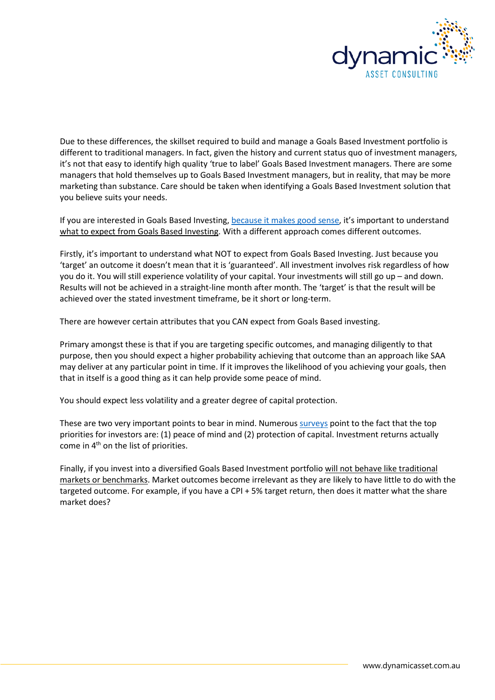

Due to these differences, the skillset required to build and manage a Goals Based Investment portfolio is different to traditional managers. In fact, given the history and current status quo of investment managers, it's not that easy to identify high quality 'true to label' Goals Based Investment managers. There are some managers that hold themselves up to Goals Based Investment managers, but in reality, that may be more marketing than substance. Care should be taken when identifying a Goals Based Investment solution that you believe suits your needs.

If you are interested in Goals Based Investing, [because it makes good sense,](https://www.forbes.com/sites/pensionresearchcouncil/2017/04/10/goals-based-investing-from-theory-to-practice/#1802ca2459dd) it's important to understand what to expect from Goals Based Investing. With a different approach comes different outcomes.

Firstly, it's important to understand what NOT to expect from Goals Based Investing. Just because you 'target' an outcome it doesn't mean that it is 'guaranteed'. All investment involves risk regardless of how you do it. You will still experience volatility of your capital. Your investments will still go up – and down. Results will not be achieved in a straight-line month after month. The 'target' is that the result will be achieved over the stated investment timeframe, be it short or long-term.

There are however certain attributes that you CAN expect from Goals Based investing.

Primary amongst these is that if you are targeting specific outcomes, and managing diligently to that purpose, then you should expect a higher probability achieving that outcome than an approach like SAA may deliver at any particular point in time. If it improves the likelihood of you achieving your goals, then that in itself is a good thing as it can help provide some peace of mind.

You should expect less volatility and a greater degree of capital protection.

These are two very important points to bear in mind. Numerou[s surveys](https://www.google.com/url?sa=t&rct=j&q=&esrc=s&source=web&cd=1&ved=0ahUKEwjy7r_vp9naAhUHlZQKHXYpBgEQFggpMAA&url=https%3A%2F%2Fhub.dimensional.com%2FexLink.asp%3F21384540OY31S87I73448910&usg=AOvVaw3POWDt2HUzyfN_gNj1ReE7) point to the fact that the top priorities for investors are: (1) peace of mind and (2) protection of capital. Investment returns actually come in 4th on the list of priorities.

Finally, if you invest into a diversified Goals Based Investment portfolio will not behave like traditional markets or benchmarks. Market outcomes become irrelevant as they are likely to have little to do with the targeted outcome. For example, if you have a CPI + 5% target return, then does it matter what the share market does?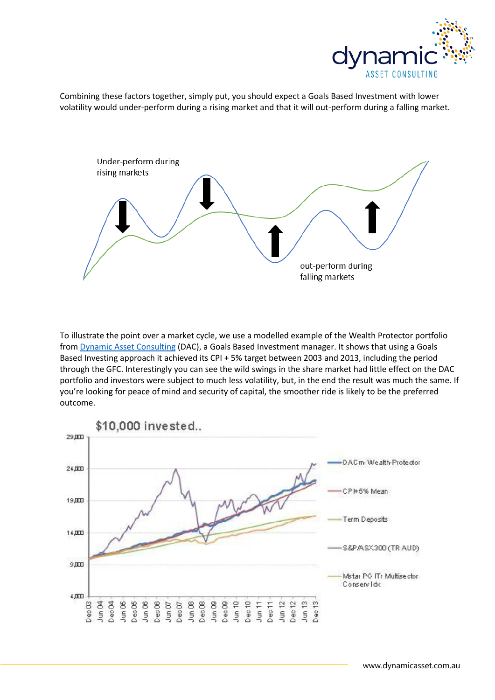

Combining these factors together, simply put, you should expect a Goals Based Investment with lower volatility would under-perform during a rising market and that it will out-perform during a falling market.



To illustrate the point over a market cycle, we use a modelled example of the Wealth Protector portfolio from [Dynamic Asset Consulting](http://dynamicasset.com.au/) (DAC), a Goals Based Investment manager. It shows that using a Goals Based Investing approach it achieved its CPI + 5% target between 2003 and 2013, including the period through the GFC. Interestingly you can see the wild swings in the share market had little effect on the DAC portfolio and investors were subject to much less volatility, but, in the end the result was much the same. If you're looking for peace of mind and security of capital, the smoother ride is likely to be the preferred outcome.